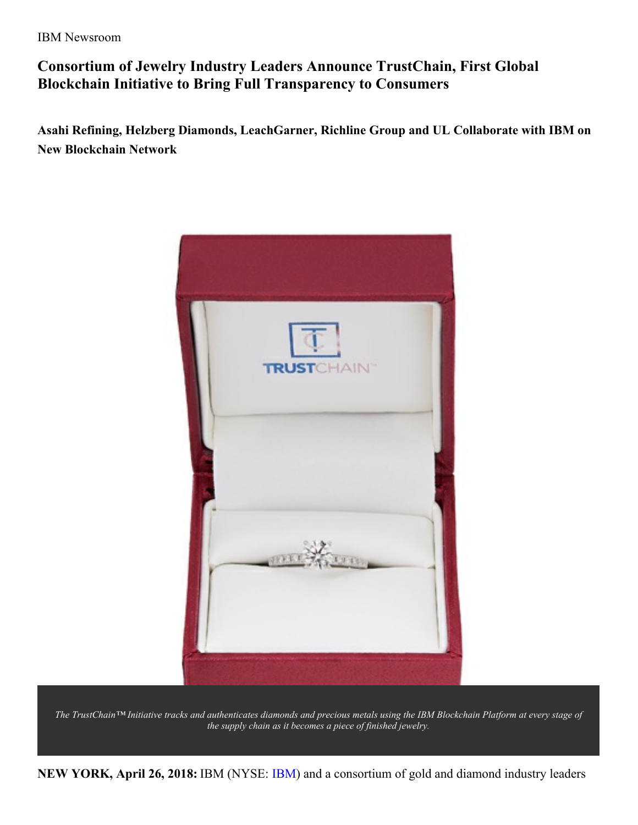IBM Newsroom

# **Consortium of Jewelry Industry Leaders Announce TrustChain, First Global Blockchain Initiative to Bring Full Transparency to Consumers**

**Asahi Refining, Helzberg Diamonds, LeachGarner, Richline Group and UL Collaborate with IBM on New Blockchain Network**



The TrustChain™ Initiative tracks and authenticates diamonds and precious metals using the IBM Blockchain Platform at every stage of *the supply chain as it becomes a piece of finished jewelry.*

**NEW YORK, April 26, 2018:** IBM (NYSE: [IBM](https://www.ibm.com/investor/)) and a consortium of gold and diamond industry leaders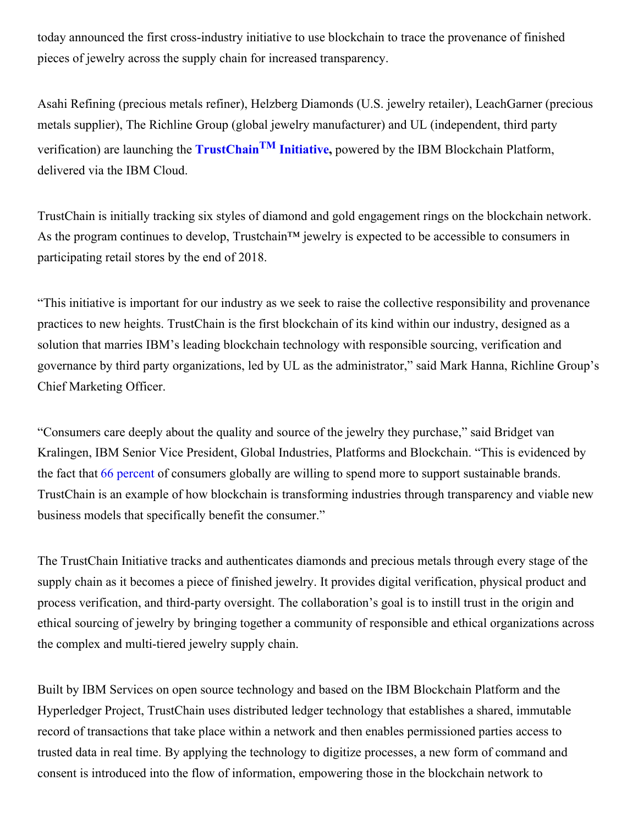today announced the first cross-industry initiative to use blockchain to trace the provenance of finished pieces of jewelry across the supply chain for increased transparency.

Asahi Refining (precious metals refiner), Helzberg Diamonds (U.S. jewelry retailer), LeachGarner (precious metals supplier), The Richline Group (global jewelry manufacturer) and UL (independent, third party verification) are launching the **[TrustChain](https://www.trustchainjewelry.com/) TM Initiative,** powered by the IBM Blockchain Platform, delivered via the IBM Cloud.

TrustChain is initially tracking six styles of diamond and gold engagement rings on the blockchain network. As the program continues to develop, Trustchain<sup>™</sup> jewelry is expected to be accessible to consumers in participating retail stores by the end of 2018.

"This initiative is important for our industry as we seek to raise the collective responsibility and provenance practices to new heights. TrustChain is the first blockchain of its kind within our industry, designed as a solution that marries IBM's leading blockchain technology with responsible sourcing, verification and governance by third party organizations, led by UL as the administrator," said Mark Hanna, Richline Group's Chief Marketing Officer.

"Consumers care deeply about the quality and source of the jewelry they purchase," said Bridget van Kralingen, IBM Senior Vice President, Global Industries, Platforms and Blockchain. "This is evidenced by the fact that 66 [percent](http://www.nielsen.com/us/en/insights/reports/2015/the-sustainability-imperative.html?afflt=ntrt15340001&afflt_uid=xs0z0dLJHLc.GOEUJSPAhmOA-C4DduCS22IdITqzsbrl&afflt_uid_2=AFFLT_ID_2) of consumers globally are willing to spend more to support sustainable brands. TrustChain is an example of how blockchain is transforming industries through transparency and viable new business models that specifically benefit the consumer."

The TrustChain Initiative tracks and authenticates diamonds and precious metals through every stage of the supply chain as it becomes a piece of finished jewelry. It provides digital verification, physical product and process verification, and third-party oversight. The collaboration's goal is to instill trust in the origin and ethical sourcing of jewelry by bringing together a community of responsible and ethical organizations across the complex and multi-tiered jewelry supply chain.

Built by IBM Services on open source technology and based on the IBM Blockchain Platform and the Hyperledger Project, TrustChain uses distributed ledger technology that establishes a shared, immutable record of transactions that take place within a network and then enables permissioned parties access to trusted data in real time. By applying the technology to digitize processes, a new form of command and consent is introduced into the flow of information, empowering those in the blockchain network to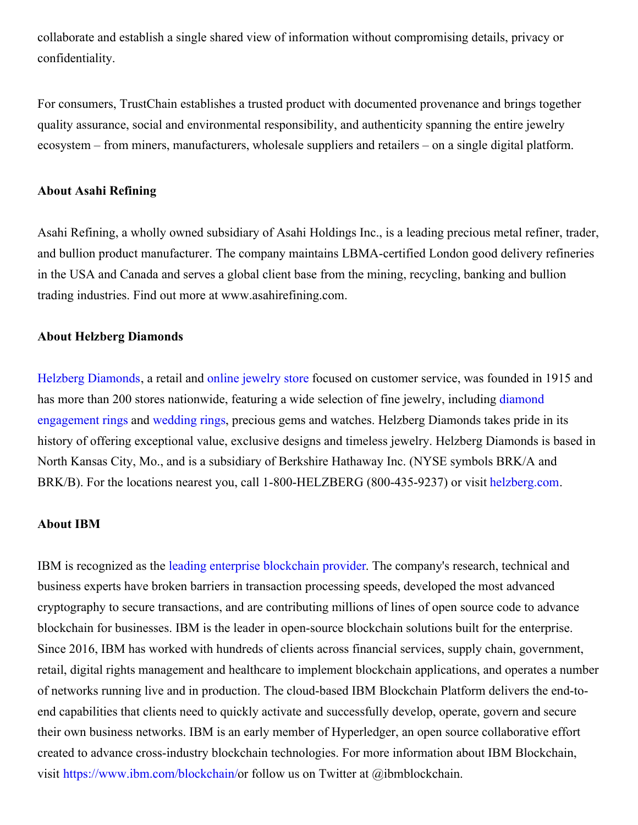collaborate and establish a single shared view of information without compromising details, privacy or confidentiality.

For consumers, TrustChain establishes a trusted product with documented provenance and brings together quality assurance, social and environmental responsibility, and authenticity spanning the entire jewelry ecosystem – from miners, manufacturers, wholesale suppliers and retailers – on a single digital platform.

# **About Asahi Refining**

Asahi Refining, a wholly owned subsidiary of Asahi Holdings Inc., is a leading precious metal refiner, trader, and bullion product manufacturer. The company maintains LBMA-certified London good delivery refineries in the USA and Canada and serves a global client base from the mining, recycling, banking and bullion trading industries. Find out more at www.asahirefining.com.

#### **About Helzberg Diamonds**

Helzberg [Diamonds](https://urldefense.proofpoint.com/v2/url?u=http-3A__www.helzberg.com_&d=DwMFAg&c=jf_iaSHvJObTbx-siA1ZOg&r=ldiseoCXqr80WQg7NVlbo-o5Qd-OZLujcFgcu2eiYt8&m=1p0jp_m86UpLzl-ap0gKcn6TDZSw6_jdtGWcmcNKaBs&s=-QLKZnrEsPP_BkRhWOifkbxwTp55MTrGzkGVOjOPpb8&e=), a retail and online [jewelry](https://urldefense.proofpoint.com/v2/url?u=http-3A__www.helzberg.com_&d=DwMFAg&c=jf_iaSHvJObTbx-siA1ZOg&r=ldiseoCXqr80WQg7NVlbo-o5Qd-OZLujcFgcu2eiYt8&m=1p0jp_m86UpLzl-ap0gKcn6TDZSw6_jdtGWcmcNKaBs&s=-QLKZnrEsPP_BkRhWOifkbxwTp55MTrGzkGVOjOPpb8&e=) store focused on customer service, was founded in 1915 and has more than 200 stores [nationwide,](https://urldefense.proofpoint.com/v2/url?u=http-3A__www.helzberg.com_category_engagement.do-3FnType-3D1&d=DwMFAg&c=jf_iaSHvJObTbx-siA1ZOg&r=ldiseoCXqr80WQg7NVlbo-o5Qd-OZLujcFgcu2eiYt8&m=1p0jp_m86UpLzl-ap0gKcn6TDZSw6_jdtGWcmcNKaBs&s=DIAo_kV3-PJCs1sMerJFsfauqqtjfuBbUqi4wP7TR2w&e=) featuring a wide selection of fine jewelry, including diamond engagement rings and [wedding](https://urldefense.proofpoint.com/v2/url?u=http-3A__www.helzberg.com_category_wedding.do-3FnType-3D1&d=DwMFAg&c=jf_iaSHvJObTbx-siA1ZOg&r=ldiseoCXqr80WQg7NVlbo-o5Qd-OZLujcFgcu2eiYt8&m=1p0jp_m86UpLzl-ap0gKcn6TDZSw6_jdtGWcmcNKaBs&s=uPo1n_M9_lIwL7xBGEsJkm9DeJ2IS4bOH4a0wV4zw1Q&e=) rings, precious gems and watches. Helzberg Diamonds takes pride in its history of offering exceptional value, exclusive designs and timeless jewelry. Helzberg Diamonds is based in North Kansas City, Mo., and is a subsidiary of Berkshire Hathaway Inc. (NYSE symbols BRK/A and BRK/B). For the locations nearest you, call 1-800-HELZBERG (800-435-9237) or visit [helzberg.com](https://urldefense.proofpoint.com/v2/url?u=http-3A__www.helzberg.com_&d=DwMFAg&c=jf_iaSHvJObTbx-siA1ZOg&r=ldiseoCXqr80WQg7NVlbo-o5Qd-OZLujcFgcu2eiYt8&m=1p0jp_m86UpLzl-ap0gKcn6TDZSw6_jdtGWcmcNKaBs&s=-QLKZnrEsPP_BkRhWOifkbxwTp55MTrGzkGVOjOPpb8&e=).

### **About IBM**

IBM is recognized as the leading enterprise [blockchain](https://www.juniperresearch.com/press/press-releases/ibm-ranked-no-1-blockchain-technology-leader) provider. The company's research, technical and business experts have broken barriers in transaction processing speeds, developed the most advanced cryptography to secure transactions, and are contributing millions of lines of open source code to advance blockchain for businesses. IBM is the leader in open-source blockchain solutions built for the enterprise. Since 2016, IBM has worked with hundreds of clients across financial services, supply chain, government, retail, digital rights management and healthcare to implement blockchain applications, and operates a number of networks running live and in production. The cloud-based IBM Blockchain Platform delivers the end-toend capabilities that clients need to quickly activate and successfully develop, operate, govern and secure their own business networks. IBM is an early member of Hyperledger, an open source collaborative effort created to advance cross-industry blockchain technologies. For more information about IBM Blockchain, visit <https://www.ibm.com/blockchain/>or follow us on Twitter at @ibmblockchain.